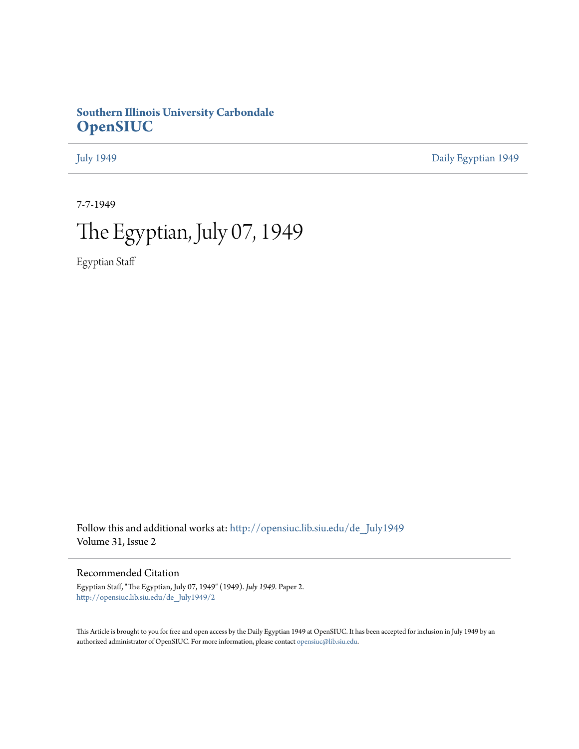# **Southern Illinois University Carbondale [OpenSIUC](http://opensiuc.lib.siu.edu?utm_source=opensiuc.lib.siu.edu%2Fde_July1949%2F2&utm_medium=PDF&utm_campaign=PDFCoverPages)**

[July 1949](http://opensiuc.lib.siu.edu/de_July1949?utm_source=opensiuc.lib.siu.edu%2Fde_July1949%2F2&utm_medium=PDF&utm_campaign=PDFCoverPages) [Daily Egyptian 1949](http://opensiuc.lib.siu.edu/de_1949?utm_source=opensiuc.lib.siu.edu%2Fde_July1949%2F2&utm_medium=PDF&utm_campaign=PDFCoverPages)

7-7-1949

# The Egyptian, July 07, 1949

Egyptian Staff

Follow this and additional works at: [http://opensiuc.lib.siu.edu/de\\_July1949](http://opensiuc.lib.siu.edu/de_July1949?utm_source=opensiuc.lib.siu.edu%2Fde_July1949%2F2&utm_medium=PDF&utm_campaign=PDFCoverPages) Volume 31, Issue 2

Recommended Citation

Egyptian Staff, "The Egyptian, July 07, 1949" (1949). *July 1949.* Paper 2. [http://opensiuc.lib.siu.edu/de\\_July1949/2](http://opensiuc.lib.siu.edu/de_July1949/2?utm_source=opensiuc.lib.siu.edu%2Fde_July1949%2F2&utm_medium=PDF&utm_campaign=PDFCoverPages)

This Article is brought to you for free and open access by the Daily Egyptian 1949 at OpenSIUC. It has been accepted for inclusion in July 1949 by an authorized administrator of OpenSIUC. For more information, please contact [opensiuc@lib.siu.edu](mailto:opensiuc@lib.siu.edu).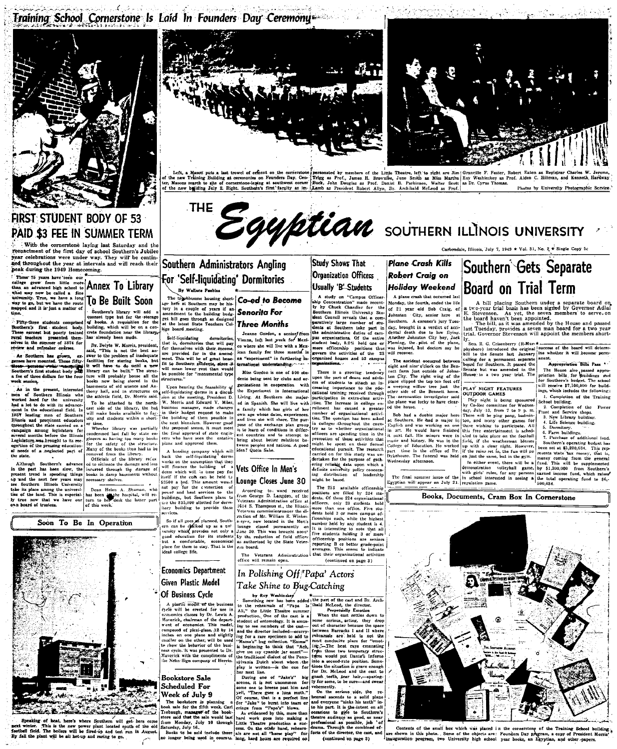Training School Cornerstone Is Laid In Founders Day Ceremony



## FIRST STUDENT BODY OF 53 PAID \$3 FEE IN SUMMER TERM

With the cornerstone laying last Saturday and the reenactment of the first day of school Southern's Jubilet year celebrations were under way. They will be continued throughout the year at intervals and will reach their peak during the 1949 Homecoming.

Dr. Delyte W. Morris, president,

thony hall, and in structures on<br>the athletic field. Dr. Morris said.

To be attached to the north

east side of the library, the hut<br>will make books available to fac-<br>ulty and students within a short-

Note that the set of the set of the set of the set of the set of the set of the set of the set of the set of the set of the set of the set of the set of the set of the set of the set of the set of the set of the set of set Annex To Library To Be Built Soon

Southern's library will add a<br>quonset type hut for the storage<br>of books. A requisition for the<br>building, which will be on a con-<br>crete foundation near the library. Fifty-three students comprised<br>butthern's first student body.<br>These egenest but poorly trained<br>wirel teachers remeanted them-<br>elves in the summer of 1874 for<br>eview and refresher courses.

said, "This is not the best answer to the problem of inadequate facilities for storing books. As Southern has grown, ex-<br>enses have mounted. Those fiftyswer to the problem of madequate<br>facilities for storing books, but<br>it will have to do until a new library can be built." The structure will probably house all the<br>books now being stored in the<br>basements of old science and three-versions weather in Southern's first student body paint<br>a fee of three dollars for the four

were seeming the present, interested<br>
nen of Southern Illinois who<br>
worked hard for the university<br>
had a lot to do with its advance-<br>
had a lot to do with its advance-<br>
nen in the educational field.<br>
In the interest of So ment in the educational field. In<br>1867 leading men of Southern<br>Ilinois and prominent educators<br>throughout the state carried on a state-orient proposition for<br>campaign among legislators for<br>state-orient linois before the ll al needs of a neglected part of the state.

er time.<br>
The metallical value of the state of the state of galaxies of galaxies<br>  $\mathbf{z}$  galaxies are stated by the state of the safety of the safety<br>
of the safety of the solution of the structure of the safety of the Although Southamle advant Aithough Southern's advancement<br>in the past has been slow, the procent trend is speeding things the<br>prop and the next few years may be perform Illinois University<br>the sec Southern Illinois University<br>the structure next ter Dean Helen A. Shuman, who<br>has been in the hospital, will re-<br>turn to her desk the latter part

turn to her<br>of this week. Soon To Be In Operation



aking of heat, here's where Southern will get hers then the new power plant located south of is field. The heilers will be fired-in and test run in A the plant will be all het up and raring to go.



rowel of cement on the corneratone personated by members of the Little Theatre, left to right are Jim<br>ceremonies on Founders Day. Cen-1 Trigg as Prof., James. H. Brownie, June Smith as Miss Martha<br>neratone-lawing at southw Granville F. Foster, Robe<br>Roy Weshinskey as Prof.<br>as Dr. Cyrus Thomas. Photos by University Photographic Scrvice

lege board meeting.

s (Furtures.<br>  $\frac{1}{2}$  Constanting the feasability of the size of the state of the last term of the last term of the last term of the last term of the last term of the last term of the building of them possible in the bu

plans and approved them.

itory building to provide these

Maverick with the compliments of<br>the Nebn Sign company of Herrin

sei vices.



# Southern Administrators Angling For 'Self-liquidating' Dormitories

# The translessme housing short- Co-ed to Become<br>Lign here at Southern may be his couple of years if an interval to the couple of years if and annoning and the mental methods. get bill goes through as designed<br>at the latest State Teachers Col-

**Three Months** 

Jeanne Gordon, a seniorf from Self-liquidating dormitories,<br>the islamic dormitories that will pay<br>for themselves with their meone,<br>are provided for in the amendment<br>ment. This will be of great bene-<br>fit to Southern sthdents, since it Vienna, left last yeek for Mexico where she will live with a Mexico ican family for three months in ensi understanding will mean lower rent than would be possible for "monumental type

Miss Gordon is one of 500 stu dents being sent by clubs and or ganizations in cooperation the Experiment in International Living. At Southern she major ed in Spanish. She will live with ed in Spanish. She will live with<br>a family which has girls of her average whose datas, experiences.<br>small lives site will shere. The pur-<br>pose of the exchange plan group is<br>pose of the exchange plan from the pose of the ex

bases are approved unit.<br>The base of the state of the state of the state of the state of the state<br>projection of the state of the state of the state of the state<br>of the state of the state of the state of the state of<br> $\sim$ Vets Office In Men's

Lounge Closes June 30 According to word received<br>from George D. Langdon, of the<br>Veterans Administration office at<br> $1614$ S. Thompson st., the Illinois<br>Veterans commission#uncer the di-

Veteran commissions uncer the di-<br>rection of Mr. William R. Winken<br>new-r, now located in the Men's<br>loange closed permanently on<br>June 30. This was brought agort but<br> $\cup$ y the reduction of field offices<br>as authorized by the

# Take Shine to Bug-Catching

the traditional dialect of the Penn-<br>sylvania Dutch about whom the<br>play is written-is the cue for

next line. er next une.<br>During one of "Jake's" big<br>cenes, it is not uncommon for

of course, that is a perfect line<br>for "Jake" to burst into tears or<br>cringe from "Papa's" blows.

theatre audience as good, as professional as possible,<br>drama. Through the com for forts of the director, the cast (continued on page 3)

The increase in college en rollment has caused a greate ties. The question has been asked<br>in colleges throughout the country as to whether organizations

Ley as to whether operational<br>tional difference of different are speeding time in the momenton of the<br>essentiality is different momentum of the momentum of the speed on their formal<br>carried on for this study was undertake

Study Shows That

Organization Officers

Usually 'B' Students

one...

might be based.<br>
The 253 available of ficership<br>
position. The 253 savailable of ficership<br>
position. The 264 by 224 state-<br>
of these 1924 by 223 sympthesized<br>
informer than one of fice-ficities hold<br>
denote had a or more

(continued on page 3)

USUATIV D-SLUGTEITS<br>
A study on "Campus Officer"<br>
Alip Concentration" made recent-<br>
by Dy Coucher Chandler for the<br>
Southern Illinois Oniversity Su-<br>
dent Connell reveals that a com-<br>
paratively large number of studient<br>
b Will Pearster.<br>The accident occurred between  $\left[\text{calling for a person}\right]$  in the accident occurred between  $\left[\text{calling for a person}\right]$  and mixer of the Ben-barrier of the Browse to a two yes of the Browse to a two yes also can compute the propert There is a growing tendency<br>upon the part of deans and advis-<br>ers of students to attach an in-<br>creasing importance to the edu-<br>creasing importance to the edu-<br>participation in extra-class activ-<br>participation in extra-clas

other side of the Bennett home. IT.Art North FEAT incomparison is the distinction of the Training with includes the behavior incorporation incorporation of the Training point of the Particular (the plane was lucky due cle

fonday, the fourth, ended the life

of 21 year old Bob Craig, of<br>Johnston City, senior here at

Southern, A coroner's jury Tues-

Southern. A coroners jury Tues-<br>day, brought in a verdict of accidental death due to low flying.<br>Another Johnston City boy, Jack<br>Fleming, the . pilot of the plane,<br>was injured, but doctors say he<br>will recover.

Illinois, July 7, 1949 \* Vol. 31, No. 2 \* Single Copy 5.

### Plane Crash Kills Southern Gets Separate Robert Craig on Board on Trial Term Holiday Weekend A plane crash that occurred last

A bill placing Southern under a separate board on<br>a two-year trial basis has been sigred by Governor Adial<br>E. Stevenson. As yet, the seven members to serve, on<br>the board haven't been appointed.<br>The bill, as it was amended

last Tuesday, provides a seven man board for a two year<br>trial. Governor Stevenson will appoint the members short-

ITial. Governor Stevenson will appoint the memoria show by Sen, R. G. Crisenbery (R.-Nur. \* ... The physics of the beard will determined physics) introduced the original success of the beard will determined by the sensite

**Expression Enter and September 2016**<br>The House also passed appropriation bills for Southern's budget. The school will receive \$7,100,000 for buildings, which includes the following:

PLAY NIGHT FRATURES

ings, which includes the following:<br>
School building.<br>
School building.<br>  $2.$  Completion of the Pover<br>  $2.$  Completion of the Pover<br>  $2.$  Then and Service shops.<br>  $3.$  New Library building.<br>  $4.$  Life Science building.<br>

Books, Documents, Cram Box In Cornerstone

Contents of the small box which was placed in the cornerstone of the Training School<br>hown in this photo... Some of the objects are: Pounders Day plegram, a copy of President<br>uration: program, two University high school yea

I GKE SIRINE TO DIUG-CALCRING<br>
by Roy Washinkay<br>
by Roy Washinkay<br>
by Roy Washinkay<br>
by Roy Washinkay<br>
mee has been added the part of the cast and Dr. Arch-<br>
to the rehearant of "Papa Is Wan the extinct of the director.<br>

between Barracks 1 and 11 where the probability in<br>the probability in the condition of conduction plus of the line<br> $\lim_{\epsilon \to 0} \frac{1}{\pi}$ . The heat was enoughly three the condition<br>of the condition of the conduction of the

some one to breeze past him and "There goes a luna moth. **VV CEA 524 C and 3** - plunning a The bookstore is plunning a<br>book sale for the fifth week. Carl<br>frobaugh, managers of the book-<br>street and that the sale would last<br>from Monday, July 10 through<br>Saturday, July 16.<br> $\frac{1}{2}$ 

to his part. It is the intent on al hook xale for the fifth week. Carl erings from ""Papa"" blows.<br>Chook in the base of the book intervals of the sale would last the sale with the sale with the sale would last hand the main of the main of the main of the mai casions to give to Southern'

The Veterans Administration that<br>office will remain open. In Polishing Off 'Papa' Actors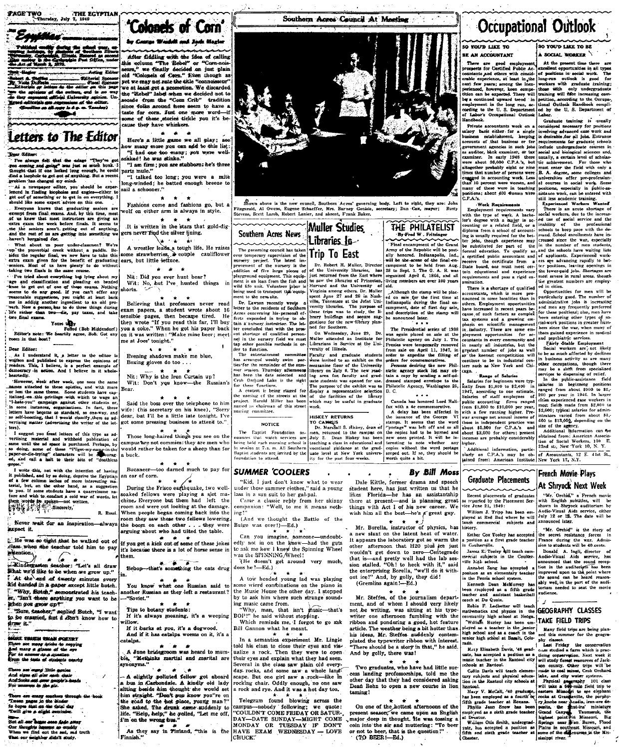

the shall and the Western and

Action Pitts Thitorial Sponsor Final Sponsor<br>ations do the sation on this page<br>of also serious, and in see way<br>at addiced thereing spinion. Un-<br>an expressions of the other.

- - -

etters to The Editor

gar Editor:<br>Twe always felt that the adage "They've got<br>on coming and going" was just so such bunk. I<br>ought that if one looked long enough, he could<br>ad aloophole to gat sut of anything. But a recent<br>oblem has changed ay su hought<br>lind a b

problem has changed soy smind.<br>"As a newspaper editor, you should be experienced in finding hoopholes and angles—cither to<br>check out of something or to get in on everything. I<br>should like some expert advice on this one.

Everyone knows that graduating seniors are example irons since that most instructors are giving and<br>of us know that most instructors are giving and<br>the the senate the week before finals. It seems to<br>the the seniors aren't, getting out of anything<br>and the rest of as anu ure rest or us are<br>haven't barosined der.

haven't hargained der.<br>
What about up poor under-classmen? We're<br>
what about us poor under-classmen? We're<br>
what about use regular final, we now have to take this<br>
estimate regular final, we now have to take this<br>
estimat

the<br>line two finals in the same course. <br>  $\label{eq:2.1} \begin{split} \text{cubic tree of the white weight} & \text{the same count} \\ \text{``Fe}-\text{re-tied about everything and placing on bending} \\ \text{the same to do any good of your example.}\\ \text{the same time in addition for a general value, and the initial time, the initial state is given by the initial state.}\\ \text{Wech. Now a second, has no–d6, pay taxes, and take the time of the time of the time.}\\ \text{The initial example, we can find the initial state of the time.} \end{split}$ re rassayr cum<br>ro final exame

Yours that y<br>Folled (Bob Middendorf) Editor's note: We heartily agree. Bob. Got any see to that have

Dann, Pilliaux

bear notice:<br>
As I understand it, a letter to the editor is<br>
ruiden and published to express the opinions of<br>
readers. This, I believe, is a perfect example of<br>
democracy in action. And i believe in it whole-

Nearbord, weak and a season is the monder of the monder and the monder and a season of the monder and the monder of the same them of the size of the size of the size of the size of the size of the size of the size of the s

any.<br>I suggest you freat letters of this type I suggest you treat letters of this type as addening material and withhold publication of the addening material and withhold publication of the addening some of these "ill get-my-name-in-theory of the space of the space of paper-or-<br>ed, sind

I write this, not with the intention of having If we cause only not with the intention of having the Egyptian of a few column inches of more interesting material, but, on the other hand, as a suggestion term of a term of point of the other hand, as a suggestion that to there words the spoken-not v

**B** Road

Never wait for an inspirationalway .<br>mect.it.

He was so tight that he walked out of class when the teacher told him to pay class (

 $\overbrace{\text{Kindergarten factorer: "Let's all draw}}$ what we'd like to be when we grow up." At the end of twenty minutes every kid handed in a naper except little butch.

"Why, Butch," semonstrated his teacher, "Isn't there enything you want to be then you grow up?

"Sure, teacher," replied Butch, "I want dryw it."

.<br>DRE TRUITH SULAN PORTRY ne usedniu umanu avidentitu<br>e sac many s ginne of the ope<br>in aniver do a quation<br>in aniver do a quation<br>n the tests of students near

There are super little genies<br>And signs all son sach chair<br>And looks out sour geople's heads<br>For snumen in the sir.

are many markers three<br>a pages in the binder<br>as that on the fatal day<br>give a clight meninose.

all sen danne seen dele away<br>dioughts havens ao muddy<br>m we find out the sad, sad truth<br>tour esighber didn't study.

'Colonels of Corn'

للمتحق عثلو فلللا فمه

the fide of calling<br>this column "The Rebel" or "Corn-nois-<br>seurs," we finally decided on just plain edits, we have used to the just plant<br>ald "Colonels of Corn." Even though as yet we may not rate the attle "conneisseur"<br>we at least got a promotion. We discarded<br>the "Rebel" label when we decided not to<br>secede from the "Com Crib" tradition case in the Coast Crip tradition taste for corn. Just one more word-if ause they have whiskers.

Here's a little game we all play; notes a nute game we all play; see<br>ow many more you can add to this list:<br>"I had one too many; you were well-<br>aked! he was stinko."

"I am firm; you are stubborn; he's three parts mule."  $\frac{1}{2}$ 

long-winded: he batted enough breeze to .o.ig-w.nucu , ..c<br>sail s schooner.'

Fashions come and fashions go, but a volf on either arm is always in style.

It is written in the store that cold-dic rers never find the silver lining.

с.  $\mathcal{L}_{\mathcal{A}}(\underline{\mathcal{A}})$  .  $\ddot{a}$ A wrestler leads a tough life. He raise some strawberries, a wagn me, ne raiser<br>some strawberries, a couple cauliflower

 $\frac{1}{2}$   $\frac{1}{2}$   $\frac{1}{2}$ 

Nit: Did von ever hunt hear? Wit: No, but I've hunted things horte

Believing that professors never read exam papers, a student wrote about 16  $\overline{H}$ sensible names then became tired then wrote "If you read this far, I'll buy<br>vou a coke." When he got his paper back on it was written: "Make mine beer; meet me at Joes' tonight."

 $\mathbf{r}_{\perp}$ Evening shadows make me blue. Boxing gloves do too . . .

Nit: Why is the Iron Curtain up? Wit: Don't you know-the Russian's Reer<sup>1</sup>

Said the boss over the telephone to him wife: (his secretary on his knee), "Sorry<br>dear, but I'll be a little late tonight. I've got some pressing business to attend to.

 $\star$   $\star$   $\star$ <br>Those long-haired things you see on the campus are not commies: they are men who would rather be taken for a sheep than for ......<br>a buck

Bucaneer-too darned much to pay for an ear of corn.

During the Frisco earthquake, two wellsoaked fellows were playing a slot ma-<br>chine. Everyone but them had left the com and were out looking at the damage When people began coming hack into the com they saw these two fellows lowering

the boom on each other . . . they were arguing about who had tilted the table. If you get a kick out of some of these jokes

it's because there is a lot of horse sense in them.

 $Bebop-that's something the cats drug$ in.

 $* * *$ <br>You know what one Russian said to nother Russian as they left a restaurant? "Soviet."

Tips to botany students:

If it's always meaning, it's a weeping If it harks at you, it's a dogwood.

And if it has catalpa worms on it, it's catalpa.

A June bridegroom was heard to mum ble. "Methinks martial and marital are synonyms.

slightly polluted fellow got aboard a bus in Carbondale. A kindly old lady<br>sitting beside him thought she would set<br>thin straight. "Don't sou know you"re on<br>the space of the coad to the the space, young man?"<br>She saked, The drunk came auddenly to life. "Help, help," he yelled, "Let me off,<br>I'm on the wrong bus."

As they say in Timland, "this is the Finnish<sup>1</sup>

Southern Anna Council At Meeting

st<br>Shown above is the new council, Southern Acres' governing body. Left to right, they are: John<br>Fitzgeraid, Al Owens, Eugene Schaeffer, Mrs. Barney Genase, secretary; Dan Cox, mayor; Rusty Stevens, Scott Lamb, Robert Lanier, and absent. Frank Baker.

THE PHILATELIST

The Presidential series of 1988

seeped out. If so, they should

afternoon that H20 plus ice just

Mr. Steffes, of the journalism depart-

Dean Rehn to open a new course in lion

On one of the hottest afternoons of the

present season, we came upon an English

coin into the sir and muttering: "To been or not to beer, that is the question!"<br>
(TO BEER!-Ed.)

And by golly, there was!

 $t$ aming!

äн.

 $\overline{R}$ 

Florida

likes

 $at$ 

Muller Studies Southern Acres News Libraries lo The generality council has taken  $\prod_{i=1}^{n} \prod_{j=1}^{n} \prod_{j=1}^{n} \prod_{j=1}^{n} \prod_{j=1}^{n} \prod_{j=1}^{n} \prod_{j=1}^{n} \prod_{j=1}^{n} \prod_{j=1}^{n} \prod_{j=1}^{n} \prod_{j=1}^{n} \prod_{j=1}^{n} \prod_{j=1}^{n} \prod_{j=1}^{n} \prod_{j=1}^{n} \prod_{j=1}^{n} \prod_{j=1}^{n} \prod_{j=1}^{n} \prod_{j=1}^{$ 

Press Control Communication Control Control of the University liberation<br>of the University liberation of the East where<br>the same the Humanics of Princeton, Harvard and the University of<br>Princeton, Wignia among others, Dr. ment is on loan from the fish and<br>wild life unit. Volunteer labor is being used to transport this equip vine, reinteasce at the sount chi-

ern to are new site.<br>Dr. Lawson recently wrote<br>etter to the residents of South versity libraries. The purpose of these trips was to study, the library buildfings and secure suggestions for the new-library planeted for Southern. .<br>Acres concerning his-personal ef-<br>forts expended in trying to obtain a nursery instructor. The let ter concluded that with the pres On Wednesday, June 29. Dr. ent shortage of qualified person-<br>nel in the nursery field we must shortage of qualified as fuller attended an Institute tap other possible methods in Librarians in Service at the Lini.

www.ununtum.com<br>varvity of Hlinois versity of *Hilhous*.<br>Faculty and graduate students<br>were invited to an exhibit on the<br>mezzanine floor of the University<br>library on July 6. The new reading area for faculty and grad-<br>uate students was opened for use.<br>The purpose of the exhibit was to in purpose of the emission was to

display a representative assessed<br>of the facilities of the library<br>which may be useful in graduate .... naming committee.

HISKEY RETURNS<br>
TO CAMELIS<br>
Dr. Marsfiall S. History, dean of<br>
men, returned to the campas on<br>
July 2. Dean History has been<br>
tenching a class in educational and<br>
tenching a class in educational and The Eaptist Foundation an-<br>bunces that watch services are<br>sing held each morning school is session at 7.a. m. All Southern vecational guidance at the graduate level at New York university for the past four weeks. Baptist students are invited by the<br>foundation to attend.

**SUMMER 'COOLERS** 

**NOTICE** 

 $\begin{array}{c}\n\text{. } \\ \text{mer} \\
\text{has} \\
\text{. } \\ \text{.}\\ \text{for}\n\end{array}$ 

"Kid, I just don't know what to wear under these summer clothes." said a young lass in a sun suit to her gal-pal.

Came a classic rebly from her skinny companion: "Well, to me it means noth-<br>"Well, to me it means noth-

ing! (And we thought the Battle of the Bulge was over!)-Ed.)

Can you imagine, someone—undoubt-<br>edly not in on the know—had the guts

to ask me how I knew the Spinning Wheel w ash are now I wiley the B<br>was the SPINNING/Wheel! '(He doesn't get around very much, does he  $?$ -Ed.)

A tow headed young lad was playing some wierd combinations on the piano in the Music House the other day. I stopped by to ask him where such strange sounding music came from.

ing music came from.<br>
"Why, man, that isn't music—that's<br>
EOP!" he said without stopping.<br>
Which reminds me, I forgot to go ask

Bill Gannon what he meant.

 $\begin{array}{ccc}\n & \star & \star & \star \\
\hline\n\end{array}$  In a semantics experiment Mr. Lingle told his class to close their eyes and vis-<br>ualize a rock. Then they were to open their eyes and explain what they had seen Several in the class saw plain old everyday. rocks, and some saw a whole land-<br>scape. But one girl saw a rock—like in rocking chair. Oddly enough, no one saw rock and rye. And it was a hot day too.

 $x + x$ <br>Telegram found blowing across the campus---nobody 'following: we quote:<br>"COULDN'T COME FRIDAY OR SATUR-COULDN'T COME FRIDAY OR SATUR-<br>DAYDAY OR TUESDAY - MIGHT COME NONDAY OR TUESDAY IF DON'T<br>HAVE EXAM WEDNESDAY - LOVE<br>CHUCK.

# Occupational Outlook

SO FOUTD LIKE TO ne in inniumine

SO YOU'D LIKE TO BE *i* contat biospen. At the present time the<br>xcellent opportunities in

sour.<br>Graduate training

in business activity as are many<br>other occupations, though there

may be a shift from specialized

may be a infer from apcolained respective to dispersing of relief.<br>
In the politic assistance field ranking of relief.<br>
In the politic assistance field ranking in beginning positions<br>
ranged from about \$900 to \$2,<br>
200 pe

size of the agency.<br>Additional faformation can be

according to the Occupa-

BE AN ALLADINARY AND PROPERTY THE STATE PROPERTY PROPERTY PROPERTY PROPERTY CHAPTED FOR STATE THAT AND REAL THAT THE PROPERTY ASSEMBLY PROPERTY AND CONTINUES THAT THE CHAPTED COMPARTY. AREA COMPARTY AND COMPARTY WILL USE O excellent opportunities in all types<br>of positions in social work. The<br>long-run outlook is good for<br>workers with graduate training;<br>those with only undergraduate<br>training will fige increasing comby a continued upward trend in<br>employment in the long run, ac-<br>excellent to the long run, acmetition tional Outlook Handhook comp ed by the U.S. Department of cording to the O.S. Department

**Private** accountants cranauce training is usually<br>considered meetings in positions<br>involving advanced case work and<br>is desirable for all jobs. Entrance<br>requirements for graduate counters in<br>include undergraduate counters in<br>point and biologica salary basis either for a single<br>business establishment, keeping<br>accounts of that business or for accounts of that business or for<br>accounts of the parametric apoints are defined as and<br>ion, blank examinet, or tax can be exampled as and<br>ion, blank examinet, or tax were about 30,000 C.P.A.'s, but<br>altered be noted by eig social and biological sciences and<br>usually, a certain level of scholas<br>tic achievement. For those who<br>must enter the field with only on university. For those was a matter the field with only a<br>matter the field with only a<br>universities offer pre-profession-<br>allows in social work, can be entered with<br>positions, especially in public-as-<br>sizing a position o

and the set of the contribution of the set of the set of the set of the set of the set of the set of the set of the set of the set of the set of the set of the set of the set of the set of the set of the set of the set of **THE PHILAILET**<br> **That encourage the County of the County of the County of the County of the County of the County of the County of the County of the County of the County of the County of the County of the County of the Co** old.<br>
2. Although the stamp will be placed on sale for the first time at Indianapolis during the final on-<br>
campment, date of first day sale,<br>
campment, date of first day sale,<br>
and description of the stamp will<br>
be announ

ed in cities.<br>
Opportunities for men will be<br>
particularly good. The number of<br>
administrative jobs is increasing accountants, which is more pro-<br>nounced in some localities than in administrative jobs is increasing the<br>spin and men are frequently preferred for these positions; place, men have<br>been entering other types of so-<br>reinforce the spin of the spin of the spin of the been spin to the<br>spin of t ounced in some securities what is have increased in recent vears be cause of such factors as complete tax systems and a growing em phasis on scientific management<br>in industry. There are some employment opportunities for accountants in every community and<br>countants in every community and<br>in nearly all industries, but the<br>gradest number of jobs as well<br> rairly stable employment<br>Social workers are, not likel;<br>to be as much affected by decline

The Presidential generics of 1938<br>was experimed on a set at the Philatelic agency on July 1. The Preside were temporarily removed<br>of Preside were temporarily removed over the Dressin were temporarily removed<br>over the comp continue to be in industrial centers such as New York and Chi cago.<br>Range of Salaries

Range of Salaries<br>Salaries for beginners were typ-<br>cally from \$1,800 to \$2,400 in<br>1947, according to one estimate. Philatelic Agency, Washington 25. feative from 81,800 to \$2,400 in the state of 1911 from 81,801 in 1947, according to one estimate.<br>
Solaries of wast  $\frac{1}{2}$  public accounting firms ranged from 81,800 to 810,000 per year, where we<br>
with a few running h Salaries (Salaries to a new order of Baliculus and the state of the state of the state of the state of the state of the state of the state of the state of the state of the state of the state of the state of the state of th the issuance of the George VI stamps. It seems that the word<br>"postage" was left off and so all the copies had to be burned and<br>new ones printed. It will be in-<br>termined the term of the state there are the state that the wo .........<br>.icher.

contained from: American Association of Social Workers, 130 E.<br>22nd st., New York 10, N.Y. values.<br>  $\Delta$  Additional information, partic  $22nd$  st., New York 10, N.Y.<br>
Early on C.P.A.'s may be ob of Aecountants, 12 E. 41st St., and it on American Institute New York 17, N.Y.

By Bill Moss French Movie Plays **Graduate Placements** Dale Kittle, former drama and speech At Shryock Next Week student here, has just written us that he \*\*\*\*\*\*\* he has an assistantship Recent placements of graduates "Mr. Orchid," a French movie "Mr. Orchid," a French movie<br>with English subtidles, will be<br>shown in Shryock auditorium by<br>Audio-Visual Aids service, cither<br>July 12 or 12. The date will be<br>announced later. there at present-and is planning great s reported by the Placement Serthings with Act I of his new career. We re June 21, 1949:<br>William J. Tripp has been em<br>loyed at Red Bud where he will<br>each commercial subjects and wish him all the best-he's a great guy. Mr. Borella, instructor of physics, has istory. "Mr. Orchid" is the story of a new slant on the latent heat of water. The secret resistance forces in<br>Trance during the war. Admission to students will be 40 cents. It appears the laboratory got so warm the

andience.

Many field trips are being plan<br>red this summer for the geogra

Existery.<br>
Exher Cox Tooley has accepted<br>
n Coulderville.<br>
in Coulderville.<br>
I may Explore the coulder of the Coulder<br>
James Explores in the Coulder<br>
ville high school. sion to students will be 40.cents.<br>
Donald A. Ingli, director of<br>
Audio-Visual Aids service, has<br>
announced that the sound recep-<br>
studio in the auditoriality<br>
improved upon to the point where<br>
the sound can be heard reaso

other atternoon that itso plus we did the set of the state that is-and pretty well had the lab session stalled. "Oh! to heck with it," said Annabel Zang has accepted<br>osition as an elementary teach solut cancel as the enterprising Borella, "we'll do it with-<br>the enterprising Borella, "we'll do it with-<br>out ice!" And, by golly, they did!<br>(Gremlins again!---Ed.) the Peoris school system Kenneth Dean McMurray ha

een cuployed as a fifth grade<br>bacher and assistant basketball<br>oach at Du Quoin.

ment, and of whom I should very likely<br>not be writing, was sitting at his typecoch at Du Quoin.<br>
Robin F. Ledhetter will teach<br>
mathematics and physics in the<br>
community high oschool at Neogra.<br>
Thiliam Hurey has been em-<br>
physicd as a teacher in the jamin<br>
physicd as a teacher in the jamin<br>
high sc GEOGRAPHY CLASSES writer one afternoon fumbling with the<br>ribbon and pondering a good, hot feature TAKE FIELD TRIPS article. The weather being a bit hotter than artice. In wealth and being a sit notice unan-<br>his ideas, Mr. Steffes suddenly contem-<br>plated the typewriter ribbon with interest.<br>"There should be a story in that," he said. phy classes.<br>Last Friday the conservation cases studied a farm which is practice. radó.

Mary Elizabeth Davis, '48 gradnot perform when the Rantoul city will study forest tune in the Rantoul city will study forest resources of Jack-<br>music teacher in the Rantoul city will study forest resources of Jack-<br>chools at Rantoul. Some country. Othe Two graduates, who have had little success landing professorships, told me the other day that they had considered asking

Collin Davis will teach elementary subjects and physical education in the Rantoul city schools a

made to coal mines, Crab Orchards<br>  $\mathbf{r}^2$  matrix of the space of the space of the space of the space of<br>
The space of the space of the space of the space of the space of<br>  $\mathbf{r}^2$  and the space of the space of the s Hentonl. (2015). McCall, '40 graduate, Mary V. McCall, '40 graduate, has been employed as a fourth or hypilit Jean Snow has been employed as a sixth grade teacher at Decatur.<br>
Thyllis Jean Snow has been employed as a sixth major deep in thought. He was tossing a Waitam Otis Smith, undergrad-.

Whilem Otis Smith, undergram- Springs uses of the subsequenties, has accepted a position as flains in southeast Misseum fifth and sixth grade tracher at some of the diffeourses in the Chester.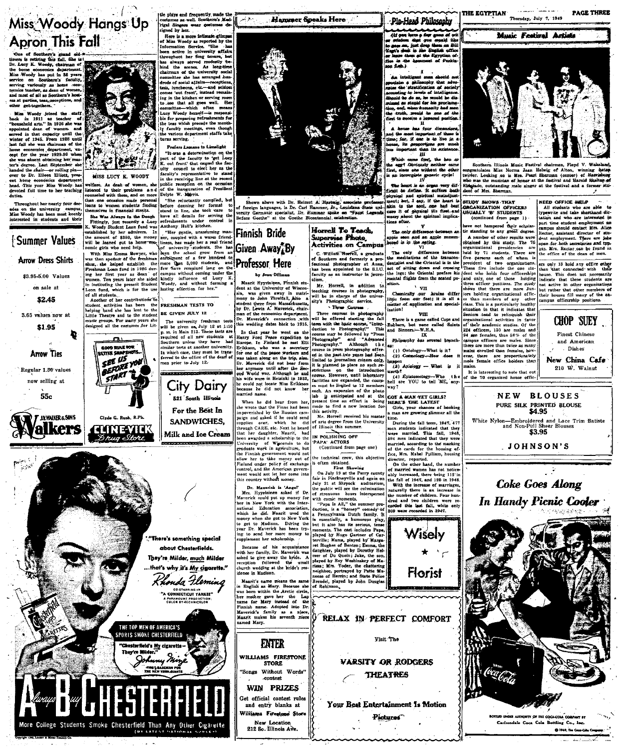# Miss Woody Hangs Up **Apron This Fall**

rs is retiring this fall. She is<br>Lucy K. Woody, chairman of department economics on 38 years<br>on Southern's faculty uliv. g variously as home<br>tascher, as dean of Wo<br>ost of ell as Southern's - 33 

winer get-togethers.<br>
Nim Wood yielded the staff with the staff with the staff of the staff appointed den.  $\pi$  is the staff appointed den. In 1926 also started in that capacity until the staff full has the stationary of t tar's degree Last Sintember T

ter's degree. Last September ahended the chair-or rolling pin-<br>handed the chair-or rolling pin-<br>over to Dr. Eileen Elliott, present<br>home conomics department<br>head. This year Miss Woody has<br>devoted full time to her teaching Throughout her nearly four de

ades on the university campus<br>ades on the university campus<br>interested in students and their

Summer Values **Arrow Dress Shirts** 

\$3.95-5.00 Values on sale at

\$2.45

3.65 values now at \$1.95

Ł

**Arrow Ties** 

Regular 1.50 values now selling at

**55c** 





their problems and<br>with them, and on more of the

with them, and on more<br>consion made personal<br>women students finding<br>as in financial straits.

the base in the heart are the beach of the beach of the beach of the state of the set of the set of the set of the set of the mount of \$550, the mount of \$560, the mount of the annual switch with the analysis who head help With Miss Emma Bowyer, who alost che helped establish sse seiped escapion on<br>nan Loan fund in 1926 dur is the first part as dean of campus without coming us in the first part as dean of campus without coming us women. Ten years later are also discharged in the intervals in instituting the present Student Woody, and without sucuung<br>fund, w<br>istudents

Loom fund, which is 10r the way.<br>
of all students...<br>
Another of her contributions Total and the result of the contributions of the FRESHMAN TESTS T<br>
student has head to the student of the SRESHMAN TESTS T<br>
beling fund als nusic groups. For many years she<br>lesigned all the costumes for Lit-

गाराम्यान

More College Students Smoke Chesterfield Than Any Other Cigarette

ua Stori

Delyte Delyte W. Marris.<br>
"She reluctantly complied,<br>
before doming her formal<br>
stand in line, she took care<br>
have all details for serving<br>
refreshments under control refreshments under co<br>Anthony Hall's kitchen.

Anthony Hall's kitchen<br>
"Her gentle, unassiming man-<br>
ner, coupled with a wave fired<br>
lines, has made her a real friend<br>
lines, has made her a real friend<br>
of university students. She has<br>
are any one of a few hands does<br> shman<br>the

rs and frequently made the<br>es as well. Southern's Mad

ga sugen<br>ened he her

servine.

يونيو

FRESHMAN TESTS TO

**IDE GIVENT JULY 12**<br>
The university freehomen tests<br>
will be given on, July 12 at 1:10<br>
p. in in Main 213. Tense tests are<br>
p. in in Main 213. Tense tests are<br>
Southern unless they have had<br>
similar tests at another univ





Finnish Bride

Given Away<sup>7</sup>By

**Professor Here** 

...<br>Lista

by Jean Diliman

Dr. Maverick is 'Angel' . maxwroa is Angwr<br>Hyvylainen asked if Dr

**ENTER** 

**STORE** 

WIN PRIZES **Get official contest rules** 

and entry blanks at .<br>Nilliams Firestone Stor

New Location<br>212 So. Illinois Ave.

Shown above with Dr. Helmut Al Hartwig, associate professor of foreign languages, is Dr. Carl Hammer,  $A_T$ , Louislans. State university Cermanic specialist. Dr. Hammer speaks an "Search estate university Germanic speaks th

Hammer Speaks Here

Horrell To Teach. Supervise Photo **Activities on Campus** 

C. William However, our Campbes<br>of Southern and formerly a pro-<br>fessional photographer at Anna,<br>has been appointed to the S.I.U.<br>faculty as an instructor in journor Francisco Prince Communist Prince Prince Control of the University of Wisconsin, was given away in matri-<br>mony to John Threetall, Also a structure student there from Massachusetts,<br>by Dr. Lewis A. Maverick, chair- $\frac{1}{1}$ 

alism.<br>
Mr. Horrell, in addition to<br>
teaching courses in photography,<br>
will be in charge of the univer<br>
sity's Photographic service. Chamically our brains differ<br>little from our feet; it is all a<br>matter of application and special-· Three Courses

of the economics denartment Three courses in photography<br>will be offered starting the fal Maverick's connection with<br>wedding dates back to 1915. term with the hasic course, "Introthis wedding ratios look to 1915.<br>
In their year he went on the Europe, Toro Peace expedition to Europe, To Pinland be met Eili<br>
Europe, To Pinland be met Eili<br>
Evideon, who was a secretary<br>
year a secretary<br>
year theory a duction of Torology<br>maps, the followed by "These Photography," a Athony of the Photography, and the company of<br>the comparison of the pair and part in present point of the limit<br>of the limit of the pair in part in the pair surse may be followed by "P سمب<br>be:

IN POLISHING OFF that her daughter, Maarit, had<br>been awarded a scholarship to the<br>University of Wisconsin to do<br>graduate work in agriculture, but

the technical crew, this objective

graduate work in agriculture, but<br>
allow her to take morey and of the technical creenes<br>
Finiand outder points of the technical creenes<br>
Finiand outder points of exchange is often obtained.<br>
control, and the American grou is orten obtained.<br>First Showing<br>On July 19 at the Perry count<br>fair in Pinckneyville and again of

fair in Findenseville and agents on the public state of the public will be public with the public with the public state of a strength of a strength of a strength of  $P_{BB}$  is All," the summer production in the public stre daughter, played by Dorothy ... dangher, played by Dorothy Help<br>mer of Du Quoin; Jake, the son,<br>played by Roy Weshinskey of Manisar: Mrs. Yoster, the chattering<br>neighbor, portrayed by Patte Manisar<br>neses of Herrin; and State Poise<br>Brendel, played by John



 $44.77$ 

۰, ÷ maid the ans, just drop them on Bill<br>deal in the Enclish office Egyptian of

a ahil

==  $\frac{1}{2}$  and  $\frac{1}{2}$ 

numur<br>Hiforati

Ш  $\tau_{\rm int}$ 

*Chamber*  $\overline{a}$ 

The heart is an expan very different to a define a bed friend the definition of the heart is plus that the state of the state of the state of the state of the state of the state of the state of the state of the state of th

 $\boldsymbol{v}$ 

**The colo difference hotmen as** 

pple seon and an apple remem<br>seed is in the esting.<br>V1

 $\mathbf{v}_{\mathbf{H}}$ 

 $<sub>1</sub>$ </sub>

Fill<br>There is a game called Cops and<br>Robbers, but none called Saints<br>and Sinners.—W.H.A.

...<br>... vorry about<br>ions after.

itian.

 $\frac{1}{2}$ 

aser Chuirnely as

an, are propins<br>id dor his re

an ahould<br>hy that ad

 $\overline{a}$  and  $\overline{a}$ 

- - -

. ale

 $\mathbf{u}$  $\sim$ 

se of marriages,<br>- -- increase in

GOT A MAN YET GIRLS?<br>HERE'S THE LATEST<br>Girls, your chances of hooking<br>a man are growing alimmer all the

time.<br>During the fall term, 1947, 477<br>men students indicated that they nr. Horrett received his master<br>of arts degree from the University<br>of Illinois this summer. were married. This fall, 1948,<br>594 men indicated that they were

(Continued from page one)

594 men indicated that they were<br>married, according to the maximum of the cards for the housing of-<br>red, Mrs. Makes Pulliam, housing director, reported.<br>On the other hand, the number<br>director, reported.<br>On the other hand, With the increase of marriages,<br>naturally there is an increase in<br>the number of children. Four hun-

naturally there is an increase in<br>the number of children. Four hun-<br>dred and two children were re-<br>corded this last fall, while only<br>309 were recorded in 1947.



Wisely

RELAX IN PERFECT COMFORT

Visit The

VARSITY OR RODGERS **THEATRES** 

Your Best Entertainment 1s Motion **Pictures** 





**PAGE THREE** 



 $O = 10$ Illinois Music Festival chairman Flord V Mine. . . . . . . . congratulates Miss Norma Jean Helwig of Alton, winning<br>twirter. Locking on is Mrs. Pearl Sherman (center) of Europho was the musician of honor at the festival and Barold Si<br>Eldegrado, outstanding mate ainger at the festiva

**STUDY SHOWS THAT<br>ARGANIZATION OFFICERS**<br>USUALLY 'B' STUDENTS<br>(continued from page 1) NEED OFFICE HELP<br>All students who are able to<br>typewrite and take shorthand divident and who are interested tation and who are interested<br>part time student employment<br>campus should contact Mrs.<br>Rector, assistant director of<br>dent employment. There are<br>open for both secretaries and

est and the manner of their scholar and the scholar time and interest degree

tic standing to any great degree-<br>adjustment of the regular were organizational physics objectively. The 76<br>corresponding to the organizational presidencies are organizational presidencies are<br>free-parsons each of whom is VI<br>
The only difference between<br>
the meditations of the transcen-<br>
dentalist and the Oriental is in the<br>
act of sitting down and creating<br>
the legs; the Oriental prefers his<br>
moital flights from the seated po-<br>
moital flig and only<sub>t</sub> one of those holding<br>three officer positions. The study

than 'that connected with their<br>house. This does not necessarily<br>indicate that these students are<br>not active in other organizations<br>but rather that other members of<br>their houses fill many of the on-<br>campus officership posi shows that there are more Jun

It is interesting to note that out<br>of the 70 organized house offic-

shows that the<br>non-structure are interesting to the state of the state of the<br>contribution in the state of the state of the contribution in the<br>interesting of the state of the state of the state of the<br>interesting that is

Thishes New China Cafe 210 W. Walnut

open for both secretaries and typicts. Mrs. Rector can be found in the office of the dean of men.

ers only 13 hold any office other

**CHOP SUEY** 

Finget Chingso and American

**NEW BLOUSES** PURE SILK PRINTED BLOUSE \$4.95

on-Embroidered and Lace Trim Batiste<br>and Non-Pull Sheer Blouses White Nylon-\$3.95

JOHNSON'S

# **Coke Goes Along In Handy Picnic Cooler**



Carriondale Coca Cola Bottling Co., Inc. O 1949, The Connection